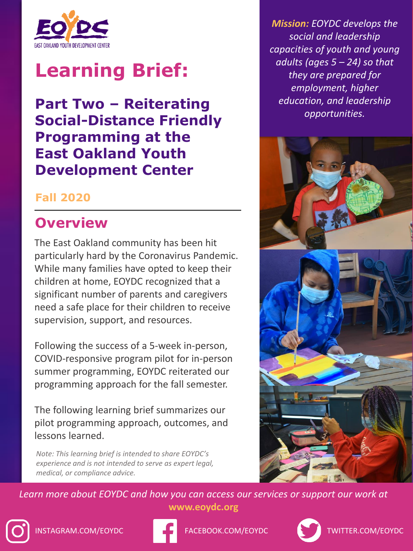

# **Learning Brief:**

**Part Two – Reiterating Social-Distance Friendly Programming at the East Oakland Youth Development Center** 

#### **Fall 2020**

#### **Overview**

The East Oakland community has been hit particularly hard by the Coronavirus Pandemic. While many families have opted to keep their children at home, EOYDC recognized that a significant number of parents and caregivers need a safe place for their children to receive supervision, support, and resources.

Following the success of a 5-week in-person, COVID-responsive program pilot for in-person summer programming, EOYDC reiterated our programming approach for the fall semester.

The following learning brief summarizes our pilot programming approach, outcomes, and lessons learned.

*Note: This learning brief is intended to share EOYDC's experience and is not intended to serve as expert legal, medical, or compliance advice.* 

*Mission: EOYDC develops the social and leadership capacities of youth and young adults (ages 5 – 24) so that they are prepared for employment, higher education, and leadership opportunities.*



Learn more about EOYDC and how you can access our services or support our work at **www.eoydc.org**





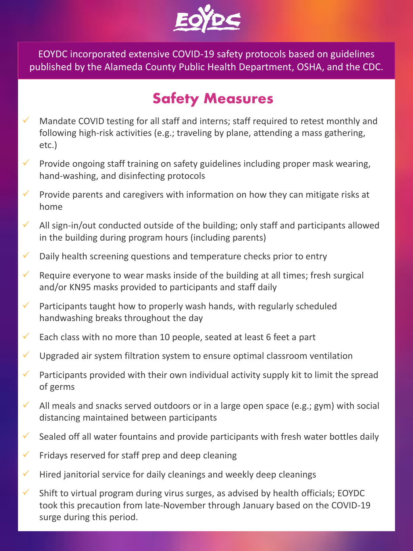

EOYDC incorporated extensive COVID-19 safety protocols based on guidelines published by the Alameda County Public Health Department, OSHA, and the CDC.

### **Safety Measures**

- Mandate COVID testing for all staff and interns; staff required to retest monthly and following high-risk activities (e.g.; traveling by plane, attending a mass gathering, etc.)
- $\checkmark$  Provide ongoing staff training on safety guidelines including proper mask wearing, hand-washing, and disinfecting protocols
- $\checkmark$  Provide parents and caregivers with information on how they can mitigate risks at home
- $\checkmark$  All sign-in/out conducted outside of the building; only staff and participants allowed in the building during program hours (including parents)
- $\checkmark$  Daily health screening questions and temperature checks prior to entry
- $\checkmark$  Require everyone to wear masks inside of the building at all times; fresh surgical and/or KN95 masks provided to participants and staff daily
- $\checkmark$  Participants taught how to properly wash hands, with regularly scheduled handwashing breaks throughout the day
- $\checkmark$  Each class with no more than 10 people, seated at least 6 feet a part
- $\checkmark$  Upgraded air system filtration system to ensure optimal classroom ventilation
- $\checkmark$  Participants provided with their own individual activity supply kit to limit the spread of germs
- $\checkmark$  All meals and snacks served outdoors or in a large open space (e.g.; gym) with social distancing maintained between participants
- $\checkmark$  Sealed off all water fountains and provide participants with fresh water bottles daily
- $\checkmark$  Fridays reserved for staff prep and deep cleaning
- $\checkmark$  Hired janitorial service for daily cleanings and weekly deep cleanings
- $\checkmark$  Shift to virtual program during virus surges, as advised by health officials; EOYDC took this precaution from late-November through January based on the COVID-19 surge during this period.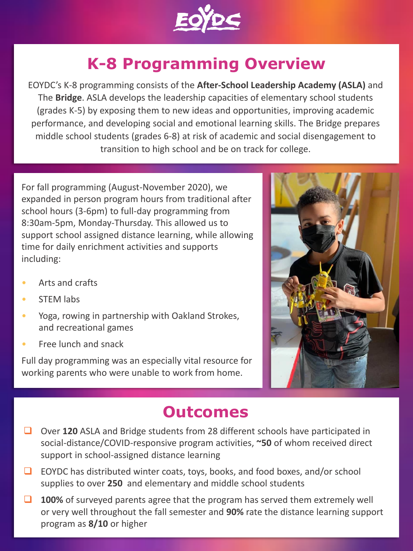

## **K-8 Programming Overview**

EOYDC's K-8 programming consists of the **After-School Leadership Academy (ASLA)** and The **Bridge**. ASLA develops the leadership capacities of elementary school students (grades K-5) by exposing them to new ideas and opportunities, improving academic performance, and developing social and emotional learning skills. The Bridge prepares middle school students (grades 6-8) at risk of academic and social disengagement to transition to high school and be on track for college.

For fall programming (August-November 2020), we expanded in person program hours from traditional after school hours (3-6pm) to full-day programming from 8:30am-5pm, Monday-Thursday. This allowed us to support school assigned distance learning, while allowing time for daily enrichment activities and supports including:

- Arts and crafts
- **STEM labs**
- Yoga, rowing in partnership with Oakland Strokes, and recreational games
- Free lunch and snack

Full day programming was an especially vital resource for working parents who were unable to work from home.



#### **Outcomes**

- ❑ Over **120** ASLA and Bridge students from 28 different schools have participated in social-distance/COVID-responsive program activities, **~50** of whom received direct support in school-assigned distance learning
- ❑ EOYDC has distributed winter coats, toys, books, and food boxes, and/or school supplies to over **250** and elementary and middle school students
- ❑ **100%** of surveyed parents agree that the program has served them extremely well or very well throughout the fall semester and **90%** rate the distance learning support program as **8/10** or higher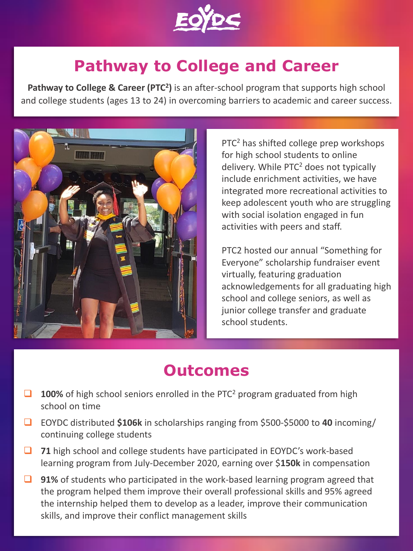

### **Pathway to College and Career**

**Pathway to College & Career (PTC<sup>2</sup>)** is an after-school program that supports high school and college students (ages 13 to 24) in overcoming barriers to academic and career success.



PTC<sup>2</sup> has shifted college prep workshops for high school students to online delivery. While PTC<sup>2</sup> does not typically include enrichment activities, we have integrated more recreational activities to keep adolescent youth who are struggling with social isolation engaged in fun activities with peers and staff.

PTC2 hosted our annual "Something for Everyone" scholarship fundraiser event virtually, featuring graduation acknowledgements for all graduating high school and college seniors, as well as junior college transfer and graduate school students.

### **Outcomes**

- ❑ **100%** of high school seniors enrolled in the PTC<sup>2</sup> program graduated from high school on time
- ❑ EOYDC distributed **\$106k** in scholarships ranging from \$500-\$5000 to **40** incoming/ continuing college students
- ❑ **71** high school and college students have participated in EOYDC's work-based learning program from July-December 2020, earning over \$**150k** in compensation
- ❑ **91%** of students who participated in the work-based learning program agreed that the program helped them improve their overall professional skills and 95% agreed the internship helped them to develop as a leader, improve their communication skills, and improve their conflict management skills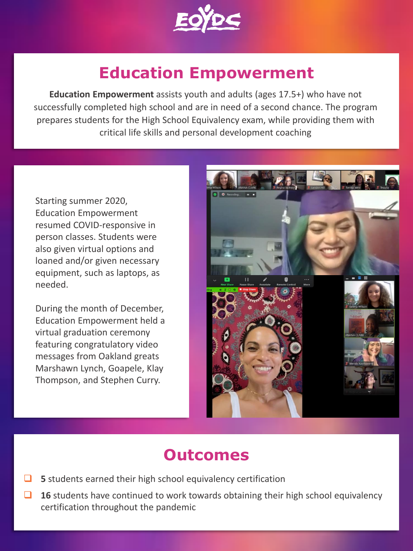

### **Education Empowerment**

**Education Empowerment** assists youth and adults (ages 17.5+) who have not successfully completed high school and are in need of a second chance. The program prepares students for the High School Equivalency exam, while providing them with critical life skills and personal development coaching

Starting summer 2020, Education Empowerment resumed COVID-responsive in person classes. Students were also given virtual options and loaned and/or given necessary equipment, such as laptops, as needed.

During the month of December, Education Empowerment held a virtual graduation ceremony featuring congratulatory video messages from Oakland greats Marshawn Lynch, Goapele, Klay Thompson, and Stephen Curry.



### **Outcomes**

- ❑ **5** students earned their high school equivalency certification
- ❑ **16** students have continued to work towards obtaining their high school equivalency certification throughout the pandemic